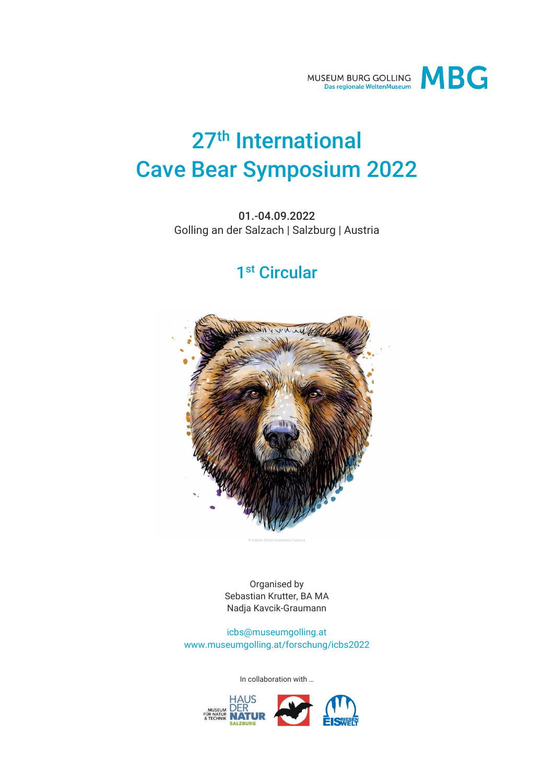

# 27<sup>th</sup> International Cave Bear Symposium 2022

01.-04.09.2022 Golling an der Salzach | Salzburg | Austria

## 1 st Circular



Organised by Sebastian Krutter, BA MA Nadja Kavcik-Graumann

[icbs@museumgolling.at](mailto:icbs@museumgolling.at) www.museumgolling.at/forschung/icbs2022

In collaboration with …

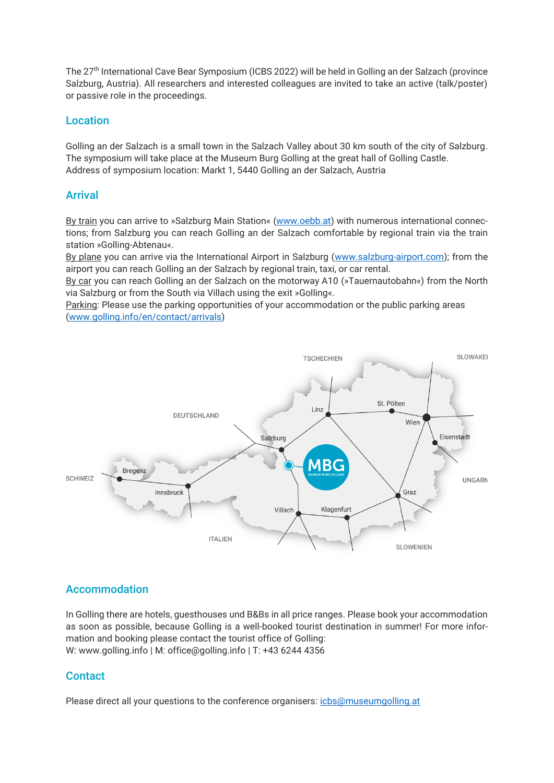The 27th International Cave Bear Symposium (ICBS 2022) will be held in Golling an der Salzach (province Salzburg, Austria). All researchers and interested colleagues are invited to take an active (talk/poster) or passive role in the proceedings.

#### Location

Golling an der Salzach is a small town in the Salzach Valley about 30 km south of the city of Salzburg. The symposium will take place at the Museum Burg Golling at the great hall of Golling Castle. Address of symposium location: Markt 1, 5440 Golling an der Salzach, Austria

#### Arrival

By train you can arrive to »Salzburg Main Station« [\(www.oebb.at\)](http://www.oebb.at/) with numerous international connections; from Salzburg you can reach Golling an der Salzach comfortable by regional train via the train station »Golling-Abtenau«.

By plane you can arrive via the International Airport in Salzburg [\(www.salzburg-airport.com\)](http://www.salzburg-airport.com/); from the airport you can reach Golling an der Salzach by regional train, taxi, or car rental.

By car you can reach Golling an der Salzach on the motorway A10 (»Tauernautobahn«) from the North via Salzburg or from the South via Villach using the exit »Golling«.

Parking: Please use the parking opportunities of your accommodation or the public parking areas [\(www.golling.info/en/contact/arrivals\)](http://www.golling.info/en/contact/arrivals)



#### Accommodation

In Golling there are hotels, guesthouses und B&Bs in all price ranges. Please book your accommodation as soon as possible, because Golling is a well-booked tourist destination in summer! For more information and booking please contact the tourist office of Golling: W[: www.golling.info](http://www.golling.info/) | M: [office@golling.info](mailto:office@golling.info) | T: +43 6244 4356

#### **Contact**

Please direct all your questions to the conference organisers: [icbs@museumgolling.at](mailto:icbs@museumgolling.at)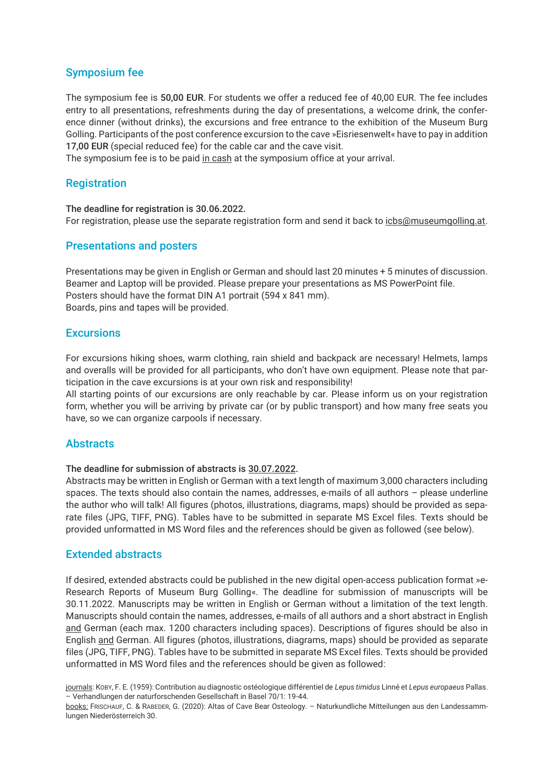#### Symposium fee

The symposium fee is 50,00 EUR. For students we offer a reduced fee of 40,00 EUR. The fee includes entry to all presentations, refreshments during the day of presentations, a welcome drink, the conference dinner (without drinks), the excursions and free entrance to the exhibition of the Museum Burg Golling. Participants of the post conference excursion to the cave »Eisriesenwelt« have to pay in addition 17,00 EUR (special reduced fee) for the cable car and the cave visit.

The symposium fee is to be paid in cash at the symposium office at your arrival.

#### **Registration**

The deadline for registration is 30.06.2022. For registration, please use the separate registration form and send it back to [icbs@museumgolling.at.](mailto:icbs@museumgolling.at)

#### Presentations and posters

Presentations may be given in English or German and should last 20 minutes + 5 minutes of discussion. Beamer and Laptop will be provided. Please prepare your presentations as MS PowerPoint file. Posters should have the format DIN A1 portrait (594 x 841 mm). Boards, pins and tapes will be provided.

#### **Excursions**

For excursions hiking shoes, warm clothing, rain shield and backpack are necessary! Helmets, lamps and overalls will be provided for all participants, who don't have own equipment. Please note that participation in the cave excursions is at your own risk and responsibility!

All starting points of our excursions are only reachable by car. Please inform us on your registration form, whether you will be arriving by private car (or by public transport) and how many free seats you have, so we can organize carpools if necessary.

#### **Abstracts**

#### The deadline for submission of abstracts is 30.07.2022.

Abstracts may be written in English or German with a text length of maximum 3,000 characters including spaces. The texts should also contain the names, addresses, e-mails of all authors – please underline the author who will talk! All figures (photos, illustrations, diagrams, maps) should be provided as separate files (JPG, TIFF, PNG). Tables have to be submitted in separate MS Excel files. Texts should be provided unformatted in MS Word files and the references should be given as followed (see below).

#### Extended abstracts

If desired, extended abstracts could be published in the new digital open-access publication format »e-Research Reports of Museum Burg Golling«. The deadline for submission of manuscripts will be 30.11.2022. Manuscripts may be written in English or German without a limitation of the text length. Manuscripts should contain the names, addresses, e-mails of all authors and a short abstract in English and German (each max. 1200 characters including spaces). Descriptions of figures should be also in English and German. All figures (photos, illustrations, diagrams, maps) should be provided as separate files (JPG, TIFF, PNG). Tables have to be submitted in separate MS Excel files. Texts should be provided unformatted in MS Word files and the references should be given as followed:

journals: KOBY, F. E. (1959): Contribution au diagnostic ostéologique différentiel de *Lepus timidus* Linné et *Lepus europaeus* Pallas. – Verhandlungen der naturforschenden Gesellschaft in Basel 70/1: 19-44.

books: FRISCHAUF, C. & RABEDER, G. (2020): Altas of Cave Bear Osteology. – Naturkundliche Mitteilungen aus den Landessammlungen Niederösterreich 30.